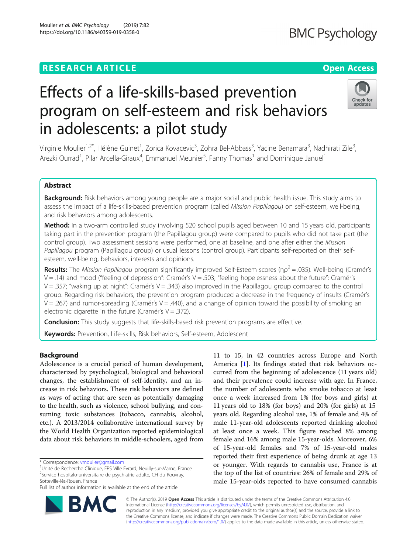# **RESEARCH ARTICLE Example 2014 12:30 The Contract of Contract ACCESS**

# Effects of a life-skills-based prevention program on self-esteem and risk behaviors in adolescents: a pilot study

Virginie Moulier<sup>1,2\*</sup>, Hélène Guinet<sup>1</sup>, Zorica Kovacevic<sup>3</sup>, Zohra Bel-Abbass<sup>3</sup>, Yacine Benamara<sup>3</sup>, Nadhirati Zile<sup>3</sup> , Arezki Ourrad<sup>1</sup>, Pilar Arcella-Giraux<sup>4</sup>, Emmanuel Meunier<sup>5</sup>, Fanny Thomas<sup>1</sup> and Dominique Januel<sup>1</sup>

# Abstract

Background: Risk behaviors among young people are a major social and public health issue. This study aims to assess the impact of a life-skills-based prevention program (called Mission Papillagou) on self-esteem, well-being, and risk behaviors among adolescents.

Method: In a two-arm controlled study involving 520 school pupils aged between 10 and 15 years old, participants taking part in the prevention program (the Papillagou group) were compared to pupils who did not take part (the control group). Two assessment sessions were performed, one at baseline, and one after either the Mission Papillagou program (Papillagou group) or usual lessons (control group). Participants self-reported on their selfesteem, well-being, behaviors, interests and opinions.

Results: The Mission Papillagou program significantly improved Self-Esteem scores (η $\rho^2$  = .035). Well-being (Cramér's V = .14) and mood ("feeling of depression": Cramér's V = .503; "feeling hopelessness about the future": Cramér's  $V = .357$ ; "waking up at night": Cramér's  $V = .343$ ) also improved in the Papillagou group compared to the control group. Regarding risk behaviors, the prevention program produced a decrease in the frequency of insults (Cramér's  $V = .267$ ) and rumor-spreading (Cramér's  $V = .440$ ), and a change of opinion toward the possibility of smoking an electronic cigarette in the future (Cramér's  $V = .372$ ).

**Conclusion:** This study suggests that life-skills-based risk prevention programs are effective.

Keywords: Prevention, Life-skills, Risk behaviors, Self-esteem, Adolescent

# Background

Adolescence is a crucial period of human development, characterized by psychological, biological and behavioral changes, the establishment of self-identity, and an increase in risk behaviors. These risk behaviors are defined as ways of acting that are seen as potentially damaging to the health, such as violence, school bullying, and consuming toxic substances (tobacco, cannabis, alcohol, etc.). A 2013/2014 collaborative international survey by the World Health Organization reported epidemiological data about risk behaviors in middle-schoolers, aged from

\* Correspondence: [vmoulier@gmail.com](mailto:vmoulier@gmail.com) <sup>1</sup>

<sup>1</sup>Unité de Recherche Clinique, EPS Ville Evrard, Neuilly-sur-Marne, France <sup>2</sup>Service hospitalo-universitaire de psychiatrie adulte, CH du Rouvray, Sotteville-lès-Rouen, France

Full list of author information is available at the end of the article

© The Author(s). 2019 Open Access This article is distributed under the terms of the Creative Commons Attribution 4.0 International License [\(http://creativecommons.org/licenses/by/4.0/](http://creativecommons.org/licenses/by/4.0/)), which permits unrestricted use, distribution, and reproduction in any medium, provided you give appropriate credit to the original author(s) and the source, provide a link to the Creative Commons license, and indicate if changes were made. The Creative Commons Public Domain Dedication waiver [\(http://creativecommons.org/publicdomain/zero/1.0/](http://creativecommons.org/publicdomain/zero/1.0/)) applies to the data made available in this article, unless otherwise stated.

11 to 15, in 42 countries across Europe and North America [[1\]](#page-9-0). Its findings stated that risk behaviors occurred from the beginning of adolescence (11 years old) and their prevalence could increase with age. In France, the number of adolescents who smoke tobacco at least once a week increased from 1% (for boys and girls) at 11 years old to 18% (for boys) and 20% (for girls) at 15 years old. Regarding alcohol use, 1% of female and 4% of male 11-year-old adolescents reported drinking alcohol at least once a week. This figure reached 8% among female and 16% among male 15-year-olds. Moreover, 6% of 15-year-old females and 7% of 15-year-old males reported their first experience of being drunk at age 13 or younger. With regards to cannabis use, France is at the top of the list of countries: 26% of female and 29% of male 15-year-olds reported to have consumed cannabis





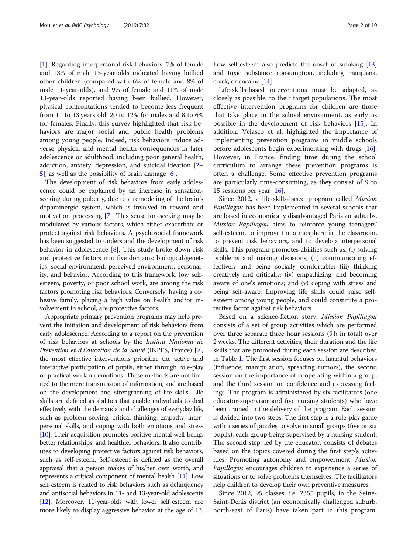[[1\]](#page-9-0). Regarding interpersonal risk behaviors, 7% of female and 13% of male 13-year-olds indicated having bullied other children (compared with 6% of female and 8% of male 11-year-olds), and 9% of female and 11% of male 13-year-olds reported having been bullied. However, physical confrontations tended to become less frequent from 11 to 13 years old: 20 to 12% for males and 8 to 6% for females. Finally, this survey highlighted that risk behaviors are major social and public health problems among young people. Indeed, risk behaviors induce adverse physical and mental health consequences in later adolescence or adulthood, including poor general health, addiction, anxiety, depression, and suicidal ideation [[2](#page-9-0)– [5\]](#page-9-0), as well as the possibility of brain damage [\[6](#page-9-0)].

The development of risk behaviors from early adolescence could be explained by an increase in sensationseeking during puberty, due to a remodeling of the brain's dopaminergic system, which is involved in reward and motivation processing [\[7](#page-9-0)]. This sensation-seeking may be modulated by various factors, which either exacerbate or protect against risk behaviors. A psychosocial framework has been suggested to understand the development of risk behavior in adolescence [[8](#page-9-0)]. This study broke down risk and protective factors into five domains: biological/genetics, social environment, perceived environment, personality, and behavior. According to this framework, low selfesteem, poverty, or poor school work, are among the risk factors promoting risk behaviors. Conversely, having a cohesive family, placing a high value on health and/or involvement in school, are protective factors.

Appropriate primary prevention programs may help prevent the initiation and development of risk behaviors from early adolescence. According to a report on the prevention of risk behaviors at schools by the Institut National de Prévention et d'Education de la Santé (INPES, France) [[9](#page-9-0)], the most effective interventions prioritize the active and interactive participation of pupils, either through role-play or practical work on emotions. These methods are not limited to the mere transmission of information, and are based on the development and strengthening of life skills. Life skills are defined as abilities that enable individuals to deal effectively with the demands and challenges of everyday life, such as problem solving, critical thinking, empathy, interpersonal skills, and coping with both emotions and stress [[10](#page-9-0)]. Their acquisition promotes positive mental well-being, better relationships, and healthier behaviors. It also contributes to developing protective factors against risk behaviors, such as self-esteem. Self-esteem is defined as the overall appraisal that a person makes of his/her own worth, and represents a critical component of mental health [[11](#page-9-0)]. Low self-esteem is related to risk behaviors such as delinquency and antisocial behaviors in 11- and 13-year-old adolescents [[12](#page-9-0)]. Moreover, 11-year-olds with lower self-esteem are more likely to display aggressive behavior at the age of 13. Low self-esteem also predicts the onset of smoking [\[13](#page-9-0)] and toxic substance consumption, including marijuana, crack, or cocaine [\[14\]](#page-9-0).

Life-skills-based interventions must be adapted, as closely as possible, to their target populations. The most effective intervention programs for children are those that take place in the school environment, as early as possible in the development of risk behaviors [[15\]](#page-9-0). In addition, Velasco et al. highlighted the importance of implementing prevention programs in middle schools before adolescents begin experimenting with drugs [\[16](#page-9-0)]. However, in France, finding time during the school curriculum to arrange these prevention programs is often a challenge. Some effective prevention programs are particularly time-consuming, as they consist of 9 to 15 sessions per year [\[16](#page-9-0)].

Since 2012, a life-skills-based program called Mission Papillagou has been implemented in several schools that are based in economically disadvantaged Parisian suburbs. Mission Papillagou aims to reinforce young teenagers' self-esteem, to improve the atmosphere in the classroom, to prevent risk behaviors, and to develop interpersonal skills. This program promotes abilities such as: (i) solving problems and making decisions; (ii) communicating effectively and being socially comfortable; (iii) thinking creatively and critically; (iv) empathizing, and becoming aware of one's emotions; and (v) coping with stress and being self-aware. Improving life skills could raise selfesteem among young people, and could constitute a protective factor against risk behaviors.

Based on a science-fiction story, Mission Papillagou consists of a set of group activities which are performed over three separate three-hour sessions (9 h in total) over 2 weeks. The different activities, their duration and the life skills that are promoted during each session are described in Table [1](#page-2-0). The first session focuses on harmful behaviors (influence, manipulation, spreading rumors), the second session on the importance of cooperating within a group, and the third session on confidence and expressing feelings. The program is administered by six facilitators (one educator-supervisor and five nursing students) who have been trained in the delivery of the program. Each session is divided into two steps. The first step is a role-play game with a series of puzzles to solve in small groups (five or six pupils), each group being supervised by a nursing student. The second step, led by the educator, consists of debates based on the topics covered during the first step's activities. Promoting autonomy and empowerment, Mission Papillagou encourages children to experience a series of situations or to solve problems themselves. The facilitators help children to develop their own preventive measures.

Since 2012, 95 classes, i.e. 2355 pupils, in the Seine-Saint-Denis district (an economically challenged suburb, north-east of Paris) have taken part in this program.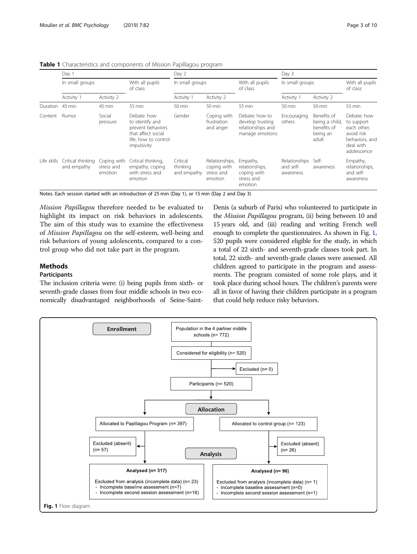<span id="page-2-0"></span>Table 1 Characteristics and components of Mission Papillagou program

|             | Day 1                            |                                      |                                                                                                                  | Day 2                               |                                                        |                                                                            | Day 3                                   |                                                                   |                                                                                                      |
|-------------|----------------------------------|--------------------------------------|------------------------------------------------------------------------------------------------------------------|-------------------------------------|--------------------------------------------------------|----------------------------------------------------------------------------|-----------------------------------------|-------------------------------------------------------------------|------------------------------------------------------------------------------------------------------|
|             | In small groups                  |                                      | With all pupils<br>of class                                                                                      | In small groups                     |                                                        | With all pupils<br>of class                                                | In small groups                         |                                                                   | With all pupils<br>of class                                                                          |
|             | Activity 1                       | Activity 2                           |                                                                                                                  | Activity 1                          | Activity 2                                             |                                                                            | Activity 1                              | Activity 2                                                        |                                                                                                      |
| Duration    | 45 min                           | 45 min                               | 55 min                                                                                                           | 50 min                              | 50 min                                                 | 55 min                                                                     | 50 min                                  | 50 min                                                            | 55 min                                                                                               |
| Content     | Rumor                            | Social<br>pressure                   | Debate: how<br>to identify and<br>prevent behaviors<br>that affect social<br>life: how to control<br>impulsivity | Gender                              | Coping with<br>frustration<br>and anger                | Debate: how to<br>develop trusting<br>relationships and<br>manage emotions | Encouraging<br>others                   | Benefits of<br>being a child,<br>benefits of<br>being an<br>adult | Debate: how<br>to support<br>each other.<br>avoid risk<br>behaviors, and<br>deal with<br>adolescence |
| Life skills | Critical thinking<br>and empathy | Coping with<br>stress and<br>emotion | Critical thinking,<br>empathy, coping<br>with stress and<br>emotion                                              | Critical<br>thinking<br>and empathy | Relationships,<br>coping with<br>stress and<br>emotion | Empathy,<br>relationships,<br>coping with<br>stress and<br>emotion         | Relationships<br>and self-<br>awareness | Self-<br>awareness                                                | Empathy,<br>relationships,<br>and self-<br>awareness                                                 |

Notes. Each session started with an introduction of 25 min (Day 1), or 15 min (Day 2 and Day 3)

Mission Papillagou therefore needed to be evaluated to highlight its impact on risk behaviors in adolescents. The aim of this study was to examine the effectiveness of Mission Papillagou on the self-esteem, well-being and risk behaviors of young adolescents, compared to a control group who did not take part in the program.

# Methods

# Participants

The inclusion criteria were: (i) being pupils from sixth- or seventh-grade classes from four middle schools in two economically disadvantaged neighborhoods of Seine-SaintDenis (a suburb of Paris) who volunteered to participate in the Mission Papillagou program, (ii) being between 10 and 15 years old, and (iii) reading and writing French well enough to complete the questionnaires. As shown in Fig. 1, 520 pupils were considered eligible for the study, in which a total of 22 sixth- and seventh-grade classes took part. In total, 22 sixth- and seventh-grade classes were assessed. All children agreed to participate in the program and assessments. The program consisted of some role plays, and it took place during school hours. The children's parents were all in favor of having their children participate in a program that could help reduce risky behaviors.

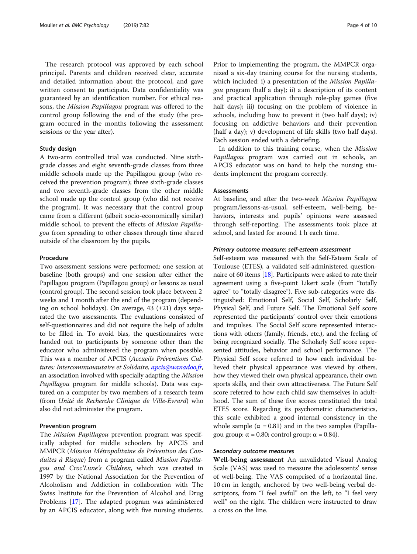The research protocol was approved by each school principal. Parents and children received clear, accurate and detailed information about the protocol, and gave written consent to participate. Data confidentiality was guaranteed by an identification number. For ethical reasons, the Mission Papillagou program was offered to the control group following the end of the study (the program occured in the months following the assessment sessions or the year after).

#### Study design

A two-arm controlled trial was conducted. Nine sixthgrade classes and eight seventh-grade classes from three middle schools made up the Papillagou group (who received the prevention program); three sixth-grade classes and two seventh-grade classes from the other middle school made up the control group (who did not receive the program). It was necessary that the control group came from a different (albeit socio-economically similar) middle school, to prevent the effects of Mission Papillagou from spreading to other classes through time shared outside of the classroom by the pupils.

#### Procedure

Two assessment sessions were performed: one session at baseline (both groups) and one session after either the Papillagou program (Papillagou group) or lessons as usual (control group). The second session took place between 2 weeks and 1 month after the end of the program (depending on school holidays). On average,  $43$  ( $\pm 21$ ) days separated the two assessments. The evaluations consisted of self-questionnaires and did not require the help of adults to be filled in. To avoid bias, the questionnaires were handed out to participants by someone other than the educator who administered the program when possible. This was a member of APCIS (Accueils Préventions Cultures: Intercommunautaire et Solidaire, [apcis@wanadoo.fr](mailto:apcis@wanadoo.fr), an association involved with specially adapting the Mission Papillagou program for middle schools). Data was captured on a computer by two members of a research team (from Unité de Recherche Clinique de Ville-Evrard) who also did not administer the program.

### Prevention program

The Mission Papillagou prevention program was specifically adapted for middle schoolers by APCIS and MMPCR (Mission Métropolitaine de Prévention des Conduites à Risque) from a program called Mission Papillagou and Croc'Lune's Children, which was created in 1997 by the National Association for the Prevention of Alcoholism and Addiction in collaboration with The Swiss Institute for the Prevention of Alcohol and Drug Problems [[17](#page-9-0)]. The adapted program was administered by an APCIS educator, along with five nursing students.

Prior to implementing the program, the MMPCR organized a six-day training course for the nursing students, which included: i) a presentation of the Mission Papillagou program (half a day); ii) a description of its content and practical application through role-play games (five half days); iii) focusing on the problem of violence in schools, including how to prevent it (two half days); iv) focusing on addictive behaviors and their prevention (half a day); v) development of life skills (two half days). Each session ended with a debriefing.

In addition to this training course, when the Mission Papillagou program was carried out in schools, an APCIS educator was on hand to help the nursing students implement the program correctly.

# Assessments

At baseline, and after the two-week Mission Papillagou program/lessons-as-usual, self-esteem, well-being, behaviors, interests and pupils' opinions were assessed through self-reporting. The assessments took place at school, and lasted for around 1 h each time.

#### Primary outcome measure: self-esteem assessment

Self-esteem was measured with the Self-Esteem Scale of Toulouse (ETES), a validated self-administered question-naire of 60 items [\[18](#page-9-0)]. Participants were asked to rate their agreement using a five-point Likert scale (from "totally agree" to "totally disagree"). Five sub-categories were distinguished: Emotional Self, Social Self, Scholarly Self, Physical Self, and Future Self. The Emotional Self score represented the participants' control over their emotions and impulses. The Social Self score represented interactions with others (family, friends, etc.), and the feeling of being recognized socially. The Scholarly Self score represented attitudes, behavior and school performance. The Physical Self score referred to how each individual believed their physical appearance was viewed by others, how they viewed their own physical appearance, their own sports skills, and their own attractiveness. The Future Self score referred to how each child saw themselves in adulthood. The sum of these five scores constituted the total ETES score. Regarding its psychometric characteristics, this scale exhibited a good internal consistency in the whole sample ( $\alpha$  = 0.81) and in the two samples (Papillagou group:  $\alpha$  = 0.80; control group:  $\alpha$  = 0.84).

# Secondary outcome measures

Well-being assessment An unvalidated Visual Analog Scale (VAS) was used to measure the adolescents' sense of well-being. The VAS comprised of a horizontal line, 10 cm in length, anchored by two well-being verbal descriptors, from "I feel awful" on the left, to "I feel very well" on the right. The children were instructed to draw a cross on the line.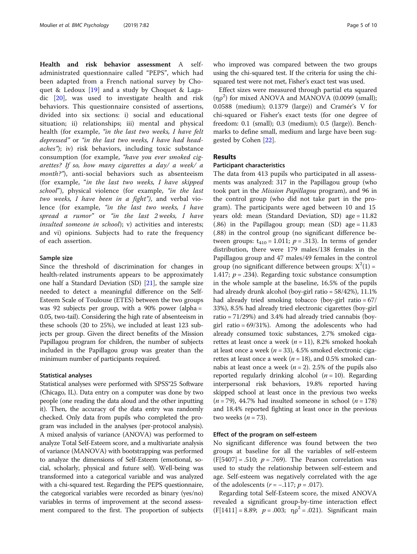Health and risk behavior assessment A selfadministrated questionnaire called "PEPS", which had been adapted from a French national survey by Choquet & Ledoux [\[19](#page-9-0)] and a study by Choquet & Lagadic [[20\]](#page-9-0), was used to investigate health and risk behaviors. This questionnaire consisted of assertions, divided into six sections: i) social and educational situation; ii) relationships; iii) mental and physical health (for example, "in the last two weeks, I have felt depressed" or "in the last two weeks, I have had headaches"); iv) risk behaviors, including toxic substance consumption (for example, "have you ever smoked cigarettes? If so, how many cigarettes a day/ a week/ a month?"), anti-social behaviors such as absenteeism (for example, "in the last two weeks, I have skipped school"), physical violence (for example, "in the last two weeks, I have been in a fight"), and verbal violence (for example, "in the last two weeks, I have spread a rumor" or "in the last 2 weeks, I have insulted someone in school); v) activities and interests; and vi) opinions. Subjects had to rate the frequency of each assertion.

#### Sample size

Since the threshold of discrimination for changes in health-related instruments appears to be approximately one half a Standard Deviation (SD) [[21\]](#page-9-0), the sample size needed to detect a meaningful difference on the Self-Esteem Scale of Toulouse (ETES) between the two groups was 92 subjects per group, with a 90% power (alpha = 0.05, two-tail). Considering the high rate of absenteeism in these schools (20 to 25%), we included at least 123 subjects per group. Given the direct benefits of the Mission Papillagou program for children, the number of subjects included in the Papillagou group was greater than the minimum number of participants required.

#### Statistical analyses

Statistical analyses were performed with SPSS®25 Software (Chicago, IL). Data entry on a computer was done by two people (one reading the data aloud and the other inputting it). Then, the accuracy of the data entry was randomly checked. Only data from pupils who completed the program was included in the analyses (per-protocol analysis). A mixed analysis of variance (ANOVA) was performed to analyze Total Self-Esteem score, and a multivariate analysis of variance (MANOVA) with bootstrapping was performed to analyze the dimensions of Self-Esteem (emotional, social, scholarly, physical and future self). Well-being was transformed into a categorical variable and was analyzed with a chi-squared test. Regarding the PEPS questionnaire, the categorical variables were recorded as binary (yes/no) variables in terms of improvement at the second assessment compared to the first. The proportion of subjects who improved was compared between the two groups using the chi-squared test. If the criteria for using the chisquared test were not met, Fisher's exact test was used.

Effect sizes were measured through partial eta squared (ηρ<sup>2</sup> ) for mixed ANOVA and MANOVA (0.0099 (small); 0.0588 (medium); 0.1379 (large)) and Cramér's V for chi-squared or Fisher's exact tests (for one degree of freedom: 0.1 (small); 0.3 (medium); 0.5 (large)). Benchmarks to define small, medium and large have been suggested by Cohen [[22\]](#page-9-0).

# Results

#### Participant characteristics

The data from 413 pupils who participated in all assessments was analyzed: 317 in the Papillagou group (who took part in the Mission Papillagou program), and 96 in the control group (who did not take part in the program). The participants were aged between 10 and 15 years old: mean (Standard Deviation, SD) age = 11.82  $(.86)$  in the Papillagou group; mean  $(SD)$  age = 11.83 (.88) in the control group (no significant difference between groups:  $t_{410} = 1.011$ ;  $p = .313$ ). In terms of gender distribution, there were 179 males/138 females in the Papillagou group and 47 males/49 females in the control group (no significant difference between groups:  $X^2(1)$  = 1.417;  $p = .234$ ). Regarding toxic substance consumption in the whole sample at the baseline, 16.5% of the pupils had already drunk alcohol (boy-girl ratio = 58/42%), 11.1% had already tried smoking tobacco (boy-girl ratio = 67/ 33%), 8.5% had already tried electronic cigarettes (boy-girl ratio = 71/29%) and 3.4% had already tried cannabis (boygirl ratio = 69/31%). Among the adolescents who had already consumed toxic substances, 2.7% smoked cigarettes at least once a week ( $n = 11$ ), 8.2% smoked hookah at least once a week ( $n = 33$ ), 4.5% smoked electronic cigarettes at least once a week ( $n = 18$ ), and 0.5% smoked cannabis at least once a week ( $n = 2$ ). 2.5% of the pupils also reported regularly drinking alcohol  $(n = 10)$ . Regarding interpersonal risk behaviors, 19.8% reported having skipped school at least once in the previous two weeks  $(n = 79)$ , 44.7% had insulted someone in school  $(n = 178)$ and 18.4% reported fighting at least once in the previous two weeks  $(n = 73)$ .

### Effect of the program on self-esteem

No significant difference was found between the two groups at baseline for all the variables of self-esteem  $(F[5407] = .510; p = .769)$ . The Pearson correlation was used to study the relationship between self-esteem and age. Self-esteem was negatively correlated with the age of the adolescents ( $r = −.117$ ;  $p = .017$ ).

Regarding total Self-Esteem score, the mixed ANOVA revealed a significant group-by-time interaction effect  $(F[1411] = 8.89; p = .003; \eta p^2 = .021)$ . Significant main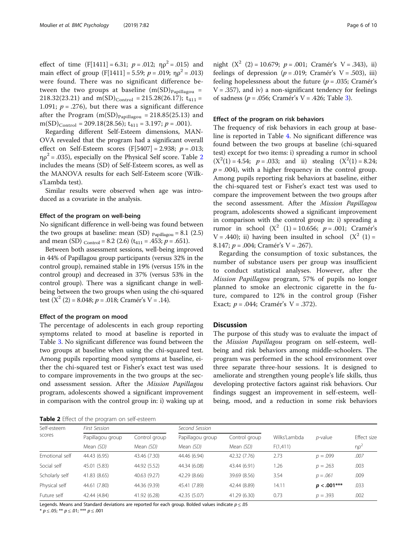effect of time  $(F[1411] = 6.31; p = .012; \eta \rho^2 = .015)$  and main effect of group (F[1411] = 5.59;  $p = .019$ ;  $\eta \rho^2 = .013$ ) were found. There was no significant difference between the two groups at baseline  $(m(SD)_{Panillacon} =$ 218.32(23.21) and m(SD)<sub>Control</sub> = 215.28(26.17);  $t_{411}$  = 1.091;  $p = .276$ ), but there was a significant difference after the Program  $(m(SD)_{Pauliagou} = 218.85(25.13)$  and  $m(SD)_{Control} = 209.18(28.56); t_{411} = 3.197; p = .001).$ 

Regarding different Self-Esteem dimensions, MAN-OVA revealed that the program had a significant overall effect on Self-Esteem scores (F[5407] = 2.938;  $p = .013$ ;  $\eta \rho^2$  = .035), especially on the Physical Self score. Table 2 includes the means (SD) of Self-Esteem scores, as well as the MANOVA results for each Self-Esteem score (Wilks'Lambda test).

Similar results were observed when age was introduced as a covariate in the analysis.

#### Effect of the program on well-being

No significant difference in well-being was found between the two groups at baseline: mean (SD)  $_{\text{Papillagou}} = 8.1$  (2.5) and mean (SD)  $_{\text{Control}}$  = 8.2 (2.6) (t<sub>411</sub> = .453;  $p = .651$ ).

Between both assessment sessions, well-being improved in 44% of Papillagou group participants (versus 32% in the control group), remained stable in 19% (versus 15% in the control group) and decreased in 37% (versus 53% in the control group). There was a significant change in wellbeing between the two groups when using the chi-squared test  $(X^2 (2) = 8.048; p = .018; Cramér's V = .14)$ .

#### Effect of the program on mood

The percentage of adolescents in each group reporting symptoms related to mood at baseline is reported in Table [3.](#page-6-0) No significant difference was found between the two groups at baseline when using the chi-squared test. Among pupils reporting mood symptoms at baseline, either the chi-squared test or Fisher's exact test was used to compare improvements in the two groups at the second assessment session. After the Mission Papillagou program, adolescents showed a significant improvement in comparison with the control group in: i) waking up at

night  $(X^2 (2) = 10.679; p = .001; Cramér's V = .343), ii)$ feelings of depression ( $p = .019$ ; Cramér's V = .503), iii) feeling hopelessness about the future ( $p = .035$ ; Cramér's  $V = .357$ ), and iv) a non-significant tendency for feelings of sadness ( $p = .056$ ; Cramér's V = .426; Table [3](#page-6-0)).

# Effect of the program on risk behaviors

The frequency of risk behaviors in each group at baseline is reported in Table [4](#page-7-0). No significant difference was found between the two groups at baseline (chi-squared test) except for two items: i) spreading a rumor in school  $(X^2(1) = 4.54; p = .033;$  and ii) stealing  $(X^2(1) = 8.24;$  $p = .004$ ), with a higher frequency in the control group. Among pupils reporting risk behaviors at baseline, either the chi-squared test or Fisher's exact test was used to compare the improvement between the two groups after the second assessment. After the Mission Papillagou program, adolescents showed a significant improvement in comparison with the control group in: i) spreading a rumor in school  $(X^2 (1) = 10.656; p = .001; Cramér's)$  $V = .440$ ); ii) having been insulted in school  $(X^2 (1) =$ 8.147;  $p = .004$ ; Cramér's V = .267).

Regarding the consumption of toxic substances, the number of substance users per group was insufficient to conduct statistical analyses. However, after the Mission Papillagou program, 57% of pupils no longer planned to smoke an electronic cigarette in the future, compared to 12% in the control group (Fisher Exact;  $p = .044$ ; Cramér's V = .372).

# **Discussion**

The purpose of this study was to evaluate the impact of the Mission Papillagou program on self-esteem, wellbeing and risk behaviors among middle-schoolers. The program was performed in the school environment over three separate three-hour sessions. It is designed to ameliorate and strengthen young people's life skills, thus developing protective factors against risk behaviors. Our findings suggest an improvement in self-esteem, wellbeing, mood, and a reduction in some risk behaviors

Table 2 Effect of the program on self-esteem

| <b>TADIC &amp;</b> LITCOL OF LITE PROGRAM ON SERVICE COLOCATION |                  |                            |                  |                            |              |               |                              |  |  |
|-----------------------------------------------------------------|------------------|----------------------------|------------------|----------------------------|--------------|---------------|------------------------------|--|--|
| Self-esteem                                                     | First Session    |                            | Second Session   |                            |              |               |                              |  |  |
| scores                                                          | Papillagou group | Control group<br>Mean (SD) | Papillagou group | Control group<br>Mean (SD) | Wilks'Lambda | $p$ -value    | Effect size<br>$\eta \rho^2$ |  |  |
|                                                                 | Mean (SD)        |                            | Mean (SD)        |                            | F(1,411)     |               |                              |  |  |
| Emotional self                                                  | 44.43 (6.95)     | 43.46 (7.30)               | 44.46 (6.94)     | 42.32 (7.76)               | 2.73         | $p = .099$    | .007                         |  |  |
| Social self                                                     | 45.01 (5.83)     | 44.92 (5.52)               | 44.34 (6.08)     | 43.44 (6.91)               | 1.26         | $p = .263$    | .003                         |  |  |
| Scholarly self                                                  | 41.83 (8.65)     | 40.63 (9.27)               | 42.29 (8.66)     | 39.69 (8.56)               | 3.54         | $p = .061$    | .009                         |  |  |
| Physical self                                                   | 44.61 (7.80)     | 44.36 (9.39)               | 45.41 (7.89)     | 42.44 (8.89)               | 14.11        | $p < .001***$ | .033                         |  |  |
| Future self                                                     | 42.44 (4.84)     | 41.92 (6.28)               | 42.35 (5.07)     | 41.29 (6.30)               | 0.73         | $p = .393$    | .002                         |  |  |

Legends. Means and Standard deviations are reported for each group. Bolded values indicate  $p \le 05$ 

\*  $p \le 0.05$ ; \*\*  $p \le 0.01$ ; \*\*\*  $p \le 0.001$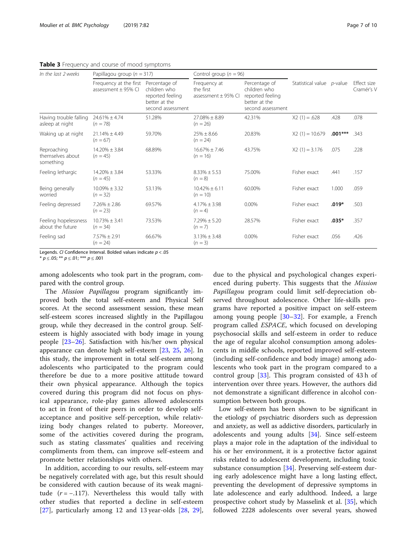| In the last 2 weeks                          | Papillagou group ( $n = 317$ )                |                                                                                         | Control group ( $n = 96$ )                           |                                                                                         |                           |           |                           |
|----------------------------------------------|-----------------------------------------------|-----------------------------------------------------------------------------------------|------------------------------------------------------|-----------------------------------------------------------------------------------------|---------------------------|-----------|---------------------------|
|                                              | Frequency at the first<br>assessment ± 95% CI | Percentage of<br>children who<br>reported feeling<br>better at the<br>second assessment | Frequency at<br>the first<br>assessment $\pm$ 95% CI | Percentage of<br>children who<br>reported feeling<br>better at the<br>second assessment | Statistical value p-value |           | Effect size<br>Cramér's V |
| Having trouble falling<br>asleep at night    | $74.61\% + 4.74$<br>$(n = 78)$                | 51.28%                                                                                  | $27.08\% + 8.89$<br>$(n = 26)$                       | 42.31%                                                                                  | $X2(1) = .628$            | .428      | .078                      |
| Waking up at night                           | $21.14\% \pm 4.49$<br>$(n = 67)$              | 59.70%                                                                                  | $25\% \pm 8.66$<br>$(n = 24)$                        | 20.83%                                                                                  | $X2(1) = 10.679$          | $.001***$ | .343                      |
| Reproaching<br>themselves about<br>something | $14.20\% \pm 3.84$<br>$(n = 45)$              | 68.89%                                                                                  | $16.67\% \pm 7.46$<br>$(n = 16)$                     | 43.75%                                                                                  | $X2(1) = 3.176$           | .075      | .228                      |
| Feeling lethargic                            | $14.20\% \pm 3.84$<br>$(n = 45)$              | 53.33%                                                                                  | $8.33\% \pm 5.53$<br>$(n = 8)$                       | 75.00%                                                                                  | Fisher exact              | .441      | .157                      |
| Being generally<br>worried                   | $10.09\% \pm 3.32$<br>$(n = 32)$              | 53.13%                                                                                  | $10.42\% \pm 6.11$<br>$(n = 10)$                     | 60.00%                                                                                  | Fisher exact              | 1.000     | .059                      |
| Feeling depressed                            | $7.26\% + 2.86$<br>$(n = 23)$                 | 69.57%                                                                                  | $4.17\% + 3.98$<br>$(n = 4)$                         | $0.00\%$                                                                                | Fisher exact              | $.019*$   | .503                      |
| Feeling hopelessness<br>about the future     | $10.73\% \pm 3.41$<br>$(n = 34)$              | 73.53%                                                                                  | $7.29\% \pm 5.20$<br>$(n = 7)$                       | 28.57%                                                                                  | Fisher exact              | $.035*$   | .357                      |
| Feeling sad                                  | $7.57\% \pm 2.91$<br>$(n = 24)$               | 66.67%                                                                                  | $3.13% + 3.48$<br>$(n = 3)$                          | 0.00%                                                                                   | Fisher exact              | .056      | .426                      |

### <span id="page-6-0"></span>Table 3 Frequency and course of mood symptoms

Legends. CI Confidence Interval. Bolded values indicate  $p < .05$ 

\*  $p \le 0.05$ ; \*\*  $p \le 0.01$ ; \*\*\*  $p \le 0.001$ 

among adolescents who took part in the program, compared with the control group.

The Mission Papillagou program significantly improved both the total self-esteem and Physical Self scores. At the second assessment session, these mean self-esteem scores increased slightly in the Papillagou group, while they decreased in the control group. Selfesteem is highly associated with body image in young people [[23](#page-9-0)–[26](#page-9-0)]. Satisfaction with his/her own physical appearance can denote high self-esteem [[23,](#page-9-0) [25,](#page-9-0) [26\]](#page-9-0). In this study, the improvement in total self-esteem among adolescents who participated to the program could therefore be due to a more positive attitude toward their own physical appearance. Although the topics covered during this program did not focus on physical appearance, role-play games allowed adolescents to act in front of their peers in order to develop selfacceptance and positive self-perception, while relativizing body changes related to puberty. Moreover, some of the activities covered during the program, such as stating classmates' qualities and receiving compliments from them, can improve self-esteem and promote better relationships with others.

In addition, according to our results, self-esteem may be negatively correlated with age, but this result should be considered with caution because of its weak magnitude  $(r = -.117)$ . Nevertheless this would tally with other studies that reported a decline in self-esteem [[27\]](#page-9-0), particularly among 12 and 13 year-olds [[28](#page-9-0), [29](#page-9-0)],

due to the physical and psychological changes experienced during puberty. This suggests that the Mission Papillagou program could limit self-depreciation observed throughout adolescence. Other life-skills programs have reported a positive impact on self-esteem among young people [[30](#page-9-0)–[32\]](#page-9-0). For example, a French program called ESPACE, which focused on developing psychosocial skills and self-esteem in order to reduce the age of regular alcohol consumption among adolescents in middle schools, reported improved self-esteem (including self-confidence and body image) among adolescents who took part in the program compared to a control group [[33](#page-9-0)]. This program consisted of 43 h of intervention over three years. However, the authors did not demonstrate a significant difference in alcohol consumption between both groups.

Low self-esteem has been shown to be significant in the etiology of psychiatric disorders such as depression and anxiety, as well as addictive disorders, particularly in adolescents and young adults [[34\]](#page-9-0). Since self-esteem plays a major role in the adaptation of the individual to his or her environment, it is a protective factor against risks related to adolescent development, including toxic substance consumption [[34\]](#page-9-0). Preserving self-esteem during early adolescence might have a long lasting effect, preventing the development of depressive symptoms in late adolescence and early adulthood. Indeed, a large prospective cohort study by Masselink et al. [\[35](#page-9-0)], which followed 2228 adolescents over several years, showed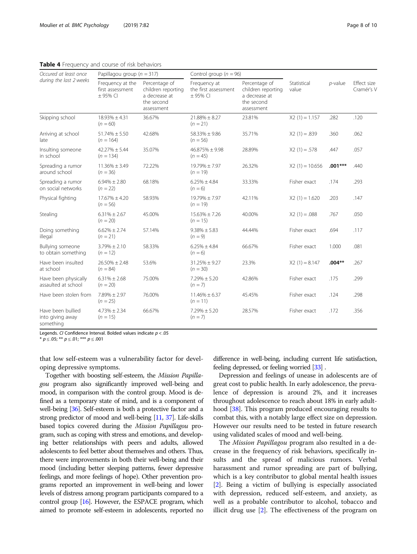| Occured at least once                              | Papillagou group ( $n = 317$ )                   |                                                                                  | Control group ( $n = 96$ )                                                                                                           |        |                      | $p$ -value | Effect size<br>Cramér's V |
|----------------------------------------------------|--------------------------------------------------|----------------------------------------------------------------------------------|--------------------------------------------------------------------------------------------------------------------------------------|--------|----------------------|------------|---------------------------|
| during the last 2 weeks                            | Frequency at the<br>first assessment<br>± 95% CI | Percentage of<br>children reporting<br>a decrease at<br>the second<br>assessment | Frequency at<br>Percentage of<br>the first assessment<br>children reporting<br>± 95% CI<br>a decrease at<br>the second<br>assessment |        | Statistical<br>value |            |                           |
| Skipping school                                    | $18.93\% \pm 4.31$<br>$(n = 60)$                 | 36.67%                                                                           | $21.88\% \pm 8.27$<br>$(n = 21)$                                                                                                     | 23.81% | $X2(1) = 1.157$      | .282       | .120                      |
| Arriving at school<br>late                         | $51.74\% \pm 5.50$<br>$(n = 164)$                | 42.68%                                                                           | $58.33\% \pm 9.86$<br>$(n = 56)$                                                                                                     | 35.71% | $X2(1) = .839$       | .360       | .062                      |
| Insulting someone<br>in school                     | $42.27\% \pm 5.44$<br>$(n = 134)$                | 35.07%                                                                           | $46.875\% \pm 9.98$<br>$(n = 45)$                                                                                                    | 28.89% | $X2(1) = .578$       | .447       | .057                      |
| Spreading a rumor<br>around school                 | $11.36\% \pm 3.49$<br>$(n = 36)$                 | 72.22%                                                                           | $19.79\% \pm 7.97$<br>$(n = 19)$                                                                                                     | 26.32% | $X2(1) = 10.656$     | $.001***$  | .440                      |
| Spreading a rumor<br>on social networks            | $6.94\% \pm 2.80$<br>$(n = 22)$                  | 68.18%                                                                           | $6.25\% \pm 4.84$<br>$(n = 6)$                                                                                                       | 33.33% | Fisher exact         | .174       | .293                      |
| Physical fighting                                  | $17.67\% \pm 4.20$<br>$(n = 56)$                 | 58.93%                                                                           | $19.79\% \pm 7.97$<br>$(n = 19)$                                                                                                     | 42.11% | $X2(1) = 1.620$      | .203       | .147                      |
| Stealing                                           | $6.31\% \pm 2.67$<br>$(n = 20)$                  | 45.00%                                                                           | $15.63\% \pm 7.26$<br>$(n = 15)$                                                                                                     | 40.00% | $X2(1) = .088$       | .767       | .050                      |
| Doing something<br>illegal                         | $6.62\% \pm 2.74$<br>$(n = 21)$                  | 57.14%                                                                           | $9.38\% \pm 5.83$<br>$(n = 9)$                                                                                                       | 44.44% | Fisher exact         | .694       | .117                      |
| Bullying someone<br>to obtain something            | $3.79\% \pm 2.10$<br>$(n = 12)$                  | 58.33%                                                                           | $6.25% + 4.84$<br>$(n = 6)$                                                                                                          | 66.67% | Fisher exact         | 1.000      | .081                      |
| Have been insulted<br>at school                    | $26.50\% \pm 2.48$<br>$(n = 84)$                 | 53.6%                                                                            | $31.25\% \pm 9.27$<br>$(n = 30)$                                                                                                     | 23.3%  | $X2(1) = 8.147$      | $.004**$   | .267                      |
| Have been physically<br>assaulted at school        | $6.31\% \pm 2.68$<br>$(n = 20)$                  | 75.00%                                                                           | $7.29\% \pm 5.20$<br>$(n = 7)$                                                                                                       | 42.86% | Fisher exact         | .175       | .299                      |
| Have been stolen from                              | $7.89\% \pm 2.97$<br>$(n = 25)$                  | 76.00%                                                                           | $11.46\% \pm 6.37$<br>$(n = 11)$                                                                                                     | 45.45% | Fisher exact         | .124       | .298                      |
| Have been bullied<br>into giving away<br>something | $4.73\% \pm 2.34$<br>$(n = 15)$                  | 66.67%                                                                           | $7.29\% \pm 5.20$<br>$(n = 7)$                                                                                                       | 28.57% | Fisher exact         | .172       | .356                      |

<span id="page-7-0"></span>

|  |  | Table 4 Frequency and course of risk behaviors |  |  |
|--|--|------------------------------------------------|--|--|
|--|--|------------------------------------------------|--|--|

Legends. CI Confidence Interval. Bolded values indicate  $p < .05$ 

\*  $p \le 0.05$ ; \*\*  $p \le 0.01$ ; \*\*\*  $p \le 0.001$ 

that low self-esteem was a vulnerability factor for developing depressive symptoms.

Together with boosting self-esteem, the Mission Papillagou program also significantly improved well-being and mood, in comparison with the control group. Mood is defined as a temporary state of mind, and is a component of well-being [\[36\]](#page-9-0). Self-esteem is both a protective factor and a strong predictor of mood and well-being [\[11,](#page-9-0) [37\]](#page-9-0). Life-skills based topics covered during the Mission Papillagou program, such as coping with stress and emotions, and developing better relationships with peers and adults, allowed adolescents to feel better about themselves and others. Thus, there were improvements in both their well-being and their mood (including better sleeping patterns, fewer depressive feelings, and more feelings of hope). Other prevention programs reported an improvement in well-being and lower levels of distress among program participants compared to a control group [\[16\]](#page-9-0). However, the ESPACE program, which aimed to promote self-esteem in adolescents, reported no difference in well-being, including current life satisfaction, feeling depressed, or feeling worried [\[33](#page-9-0)] .

Depression and feelings of unease in adolescents are of great cost to public health. In early adolescence, the prevalence of depression is around 2%, and it increases throughout adolescence to reach about 18% in early adulthood [\[38](#page-9-0)]. This program produced encouraging results to combat this, with a notably large effect size on depression. However our results need to be tested in future research using validated scales of mood and well-being.

The Mission Papillagou program also resulted in a decrease in the frequency of risk behaviors, specifically insults and the spread of malicious rumors. Verbal harassment and rumor spreading are part of bullying, which is a key contributor to global mental health issues [[2\]](#page-9-0). Being a victim of bullying is especially associated with depression, reduced self-esteem, and anxiety, as well as a probable contributor to alcohol, tobacco and illicit drug use [[2\]](#page-9-0). The effectiveness of the program on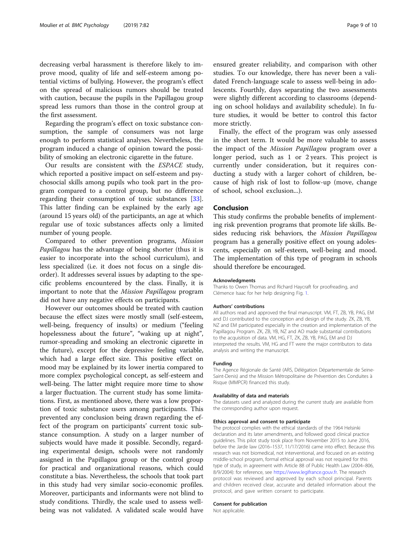decreasing verbal harassment is therefore likely to improve mood, quality of life and self-esteem among potential victims of bullying. However, the program's effect on the spread of malicious rumors should be treated with caution, because the pupils in the Papillagou group spread less rumors than those in the control group at the first assessment.

Regarding the program's effect on toxic substance consumption, the sample of consumers was not large enough to perform statistical analyses. Nevertheless, the program induced a change of opinion toward the possibility of smoking an electronic cigarette in the future.

Our results are consistent with the ESPACE study, which reported a positive impact on self-esteem and psychosocial skills among pupils who took part in the program compared to a control group, but no difference regarding their consumption of toxic substances [\[33](#page-9-0)]. This latter finding can be explained by the early age (around 15 years old) of the participants, an age at which regular use of toxic substances affects only a limited number of young people.

Compared to other prevention programs, Mission Papillagou has the advantage of being shorter (thus it is easier to incorporate into the school curriculum), and less specialized (i.e. it does not focus on a single disorder). It addresses several issues by adapting to the specific problems encountered by the class. Finally, it is important to note that the Mission Papillagou program did not have any negative effects on participants.

However our outcomes should be treated with caution because the effect sizes were mostly small (self-esteem, well-being, frequency of insults) or medium ("feeling hopelessness about the future", "waking up at night", rumor-spreading and smoking an electronic cigarette in the future), except for the depressive feeling variable, which had a large effect size. This positive effect on mood may be explained by its lower inertia compared to more complex psychological concept, as self-esteem and well-being. The latter might require more time to show a larger fluctuation. The current study has some limitations. First, as mentioned above, there was a low proportion of toxic substance users among participants. This prevented any conclusion being drawn regarding the effect of the program on participants' current toxic substance consumption. A study on a larger number of subjects would have made it possible. Secondly, regarding experimental design, schools were not randomly assigned in the Papillagou group or the control group for practical and organizational reasons, which could constitute a bias. Nevertheless, the schools that took part in this study had very similar socio-economic profiles. Moreover, participants and informants were not blind to study conditions. Thirdly, the scale used to assess wellbeing was not validated. A validated scale would have

ensured greater reliability, and comparison with other studies. To our knowledge, there has never been a validated French-language scale to assess well-being in adolescents. Fourthly, days separating the two assessments were slightly different according to classrooms (depending on school holidays and availability schedule). In future studies, it would be better to control this factor more strictly.

Finally, the effect of the program was only assessed in the short term. It would be more valuable to assess the impact of the Mission Papillagou program over a longer period, such as 1 or 2 years. This project is currently under consideration, but it requires conducting a study with a larger cohort of children, because of high risk of lost to follow-up (move, change of school, school exclusion...).

### Conclusion

This study confirms the probable benefits of implementing risk prevention programs that promote life skills. Besides reducing risk behaviors, the Mission Papillagou program has a generally positive effect on young adolescents, especially on self-esteem, well-being and mood. The implementation of this type of program in schools should therefore be encouraged.

#### Acknowledgments

Thanks to Owen Thomas and Richard Haycraft for proofreading, and Clémence Isaac for her help designing Fig. [1](#page-2-0).

#### Authors' contributions

All authors read and approved the final manuscript. VM, FT, ZB, YB, PAG, EM and DJ contributed to the conception and design of the study. ZK, ZB, YB, NZ and EM participated especially in the creation and implementation of the Papillagou Program. ZK, ZB, YB, NZ and AO made substantial contributions to the acquisition of data. VM, HG, FT, ZK, ZB, YB, PAG, EM and DJ interpreted the results. VM, HG and FT were the major contributors to data analysis and writing the manuscript.

#### Funding

The Agence Régionale de Santé (ARS, Délégation Départementale de Seine-Saint-Denis) and the Mission Métropolitaine de Prévention des Conduites à Risque (MMPCR) financed this study.

#### Availability of data and materials

The datasets used and analyzed during the current study are available from the corresponding author upon request.

#### Ethics approval and consent to participate

The protocol complies with the ethical standards of the 1964 Helsinki declaration and its later amendments, and followed good clinical practice guidelines. This pilot study took place from November 2015 to June 2016, before the Jarde law (2016–1537, 11/17/2016) came into effect. Because this research was not biomedical, not interventional, and focused on an existing middle-school program, formal ethical approval was not required for this type of study, in agreement with Article 88 of Public Health Law (2004–806, 8/9/2004): for reference, see <https://www.legifrance.gouv.fr>. The research protocol was reviewed and approved by each school principal. Parents and children received clear, accurate and detailed information about the protocol, and gave written consent to participate.

#### Consent for publication

Not applicable.